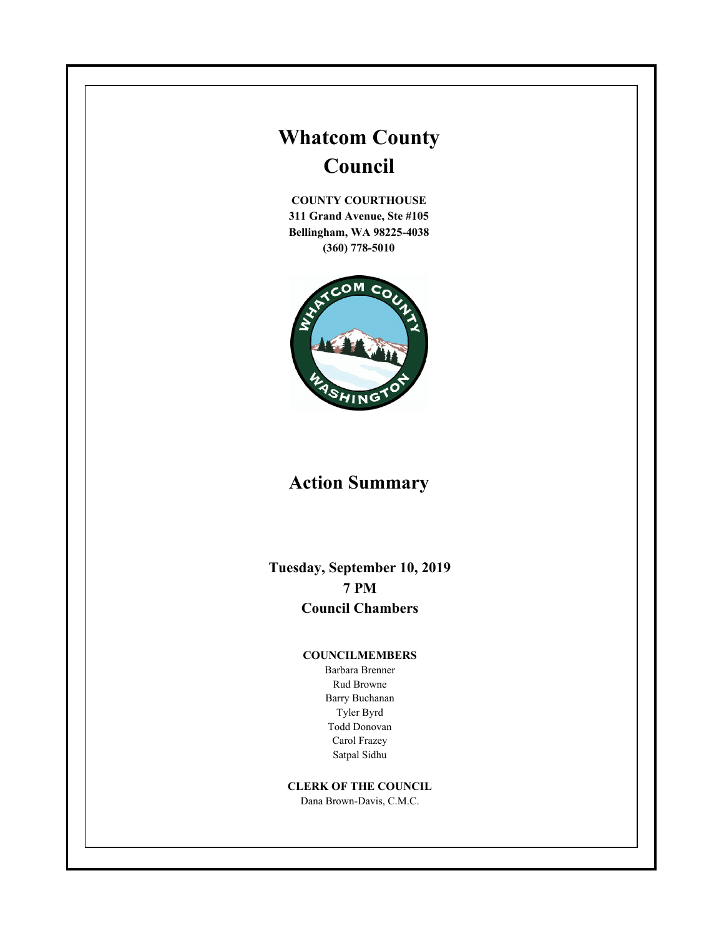# **Whatcom County Council**

**COUNTY COURTHOUSE 311 Grand Avenue, Ste #105 Bellingham, WA 98225-4038 (360) 778-5010**



# **Action Summary**

**Tuesday, September 10, 2019 7 PM Council Chambers**

#### **COUNCILMEMBERS**

Barbara Brenner Rud Browne Barry Buchanan Tyler Byrd Todd Donovan Carol Frazey Satpal Sidhu

# **CLERK OF THE COUNCIL**

Dana Brown-Davis, C.M.C.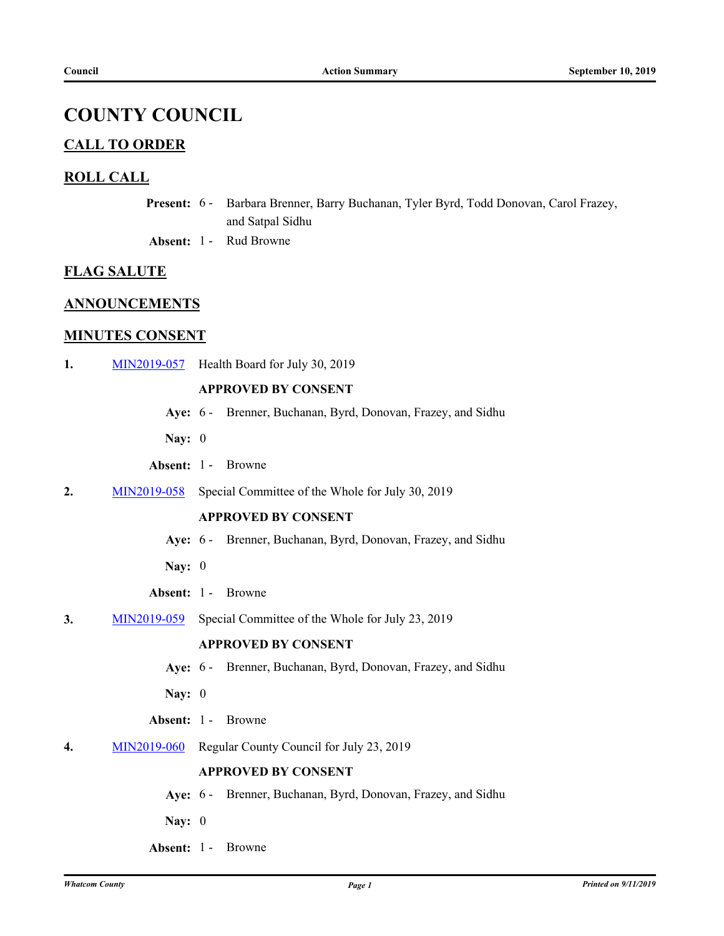# **COUNTY COUNCIL**

# **CALL TO ORDER**

# **ROLL CALL**

- Present: 6 Barbara Brenner, Barry Buchanan, Tyler Byrd, Todd Donovan, Carol Frazey, and Satpal Sidhu
- **Absent:** 1 Rud Browne

## **FLAG SALUTE**

# **ANNOUNCEMENTS**

# **MINUTES CONSENT**

**1.** [MIN2019-057](http://whatcom.legistar.com/gateway.aspx?m=l&id=/matter.aspx?key=2485) Health Board for July 30, 2019

# **APPROVED BY CONSENT**

- **Aye:** 6 Brenner, Buchanan, Byrd, Donovan, Frazey, and Sidhu
- **Nay:** 0
- **Absent:** 1 Browne
- **2.** [MIN2019-058](http://whatcom.legistar.com/gateway.aspx?m=l&id=/matter.aspx?key=2486) Special Committee of the Whole for July 30, 2019

## **APPROVED BY CONSENT**

- **Aye:** 6 Brenner, Buchanan, Byrd, Donovan, Frazey, and Sidhu
- **Nay:** 0
- **Absent:** 1 Browne
- **3.** [MIN2019-059](http://whatcom.legistar.com/gateway.aspx?m=l&id=/matter.aspx?key=2492) Special Committee of the Whole for July 23, 2019

### **APPROVED BY CONSENT**

- **Aye:** 6 Brenner, Buchanan, Byrd, Donovan, Frazey, and Sidhu
- **Nay:** 0
- **Absent:** 1 Browne
- **4.** [MIN2019-060](http://whatcom.legistar.com/gateway.aspx?m=l&id=/matter.aspx?key=2493) Regular County Council for July 23, 2019

#### **APPROVED BY CONSENT**

- **Aye:** 6 Brenner, Buchanan, Byrd, Donovan, Frazey, and Sidhu
- **Nay:** 0
- **Absent:** 1 Browne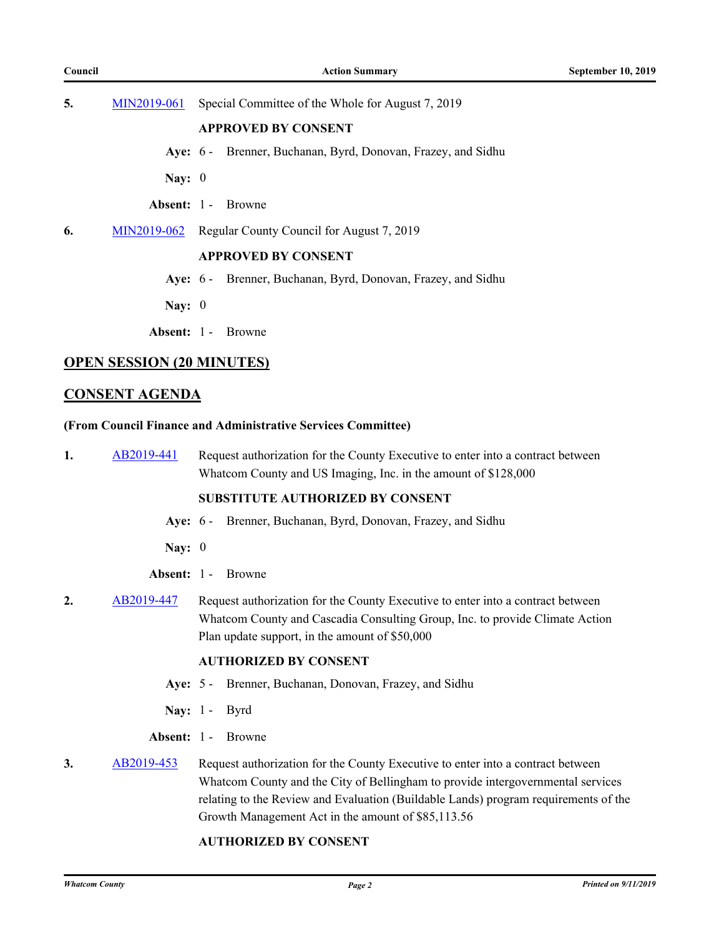**5.** [MIN2019-061](http://whatcom.legistar.com/gateway.aspx?m=l&id=/matter.aspx?key=2494) Special Committee of the Whole for August 7, 2019

#### **APPROVED BY CONSENT**

- **Aye:** 6 Brenner, Buchanan, Byrd, Donovan, Frazey, and Sidhu
- **Nay:** 0
- **Absent:** 1 Browne
- **6.** [MIN2019-062](http://whatcom.legistar.com/gateway.aspx?m=l&id=/matter.aspx?key=2495) Regular County Council for August 7, 2019

#### **APPROVED BY CONSENT**

- **Aye:** 6 Brenner, Buchanan, Byrd, Donovan, Frazey, and Sidhu
- **Nay:** 0
- **Absent:** 1 Browne

# **OPEN SESSION (20 MINUTES)**

# **CONSENT AGENDA**

#### **(From Council Finance and Administrative Services Committee)**

**1.** [AB2019-441](http://whatcom.legistar.com/gateway.aspx?m=l&id=/matter.aspx?key=2498) Request authorization for the County Executive to enter into a contract between Whatcom County and US Imaging, Inc. in the amount of \$128,000

#### **SUBSTITUTE AUTHORIZED BY CONSENT**

- **Aye:** 6 Brenner, Buchanan, Byrd, Donovan, Frazey, and Sidhu
- **Nay:** 0
- **Absent:** 1 Browne
- **2.** [AB2019-447](http://whatcom.legistar.com/gateway.aspx?m=l&id=/matter.aspx?key=2504) Request authorization for the County Executive to enter into a contract between Whatcom County and Cascadia Consulting Group, Inc. to provide Climate Action Plan update support, in the amount of \$50,000

#### **AUTHORIZED BY CONSENT**

- **Aye:** 5 Brenner, Buchanan, Donovan, Frazey, and Sidhu
- **Nay:** 1 Byrd
- **Absent:** 1 Browne
- **3.** [AB2019-453](http://whatcom.legistar.com/gateway.aspx?m=l&id=/matter.aspx?key=2510) Request authorization for the County Executive to enter into a contract between Whatcom County and the City of Bellingham to provide intergovernmental services relating to the Review and Evaluation (Buildable Lands) program requirements of the Growth Management Act in the amount of \$85,113.56

## **AUTHORIZED BY CONSENT**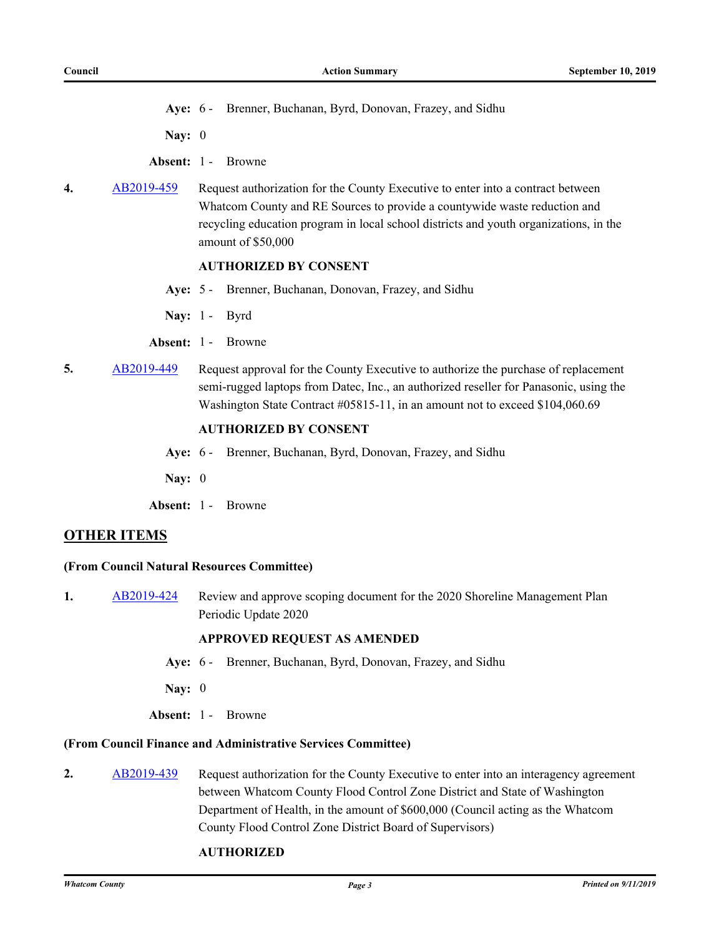**Aye:** 6 - Brenner, Buchanan, Byrd, Donovan, Frazey, and Sidhu

**Nay:** 0

- **Absent:** 1 Browne
- **4.** [AB2019-459](http://whatcom.legistar.com/gateway.aspx?m=l&id=/matter.aspx?key=2516) Request authorization for the County Executive to enter into a contract between Whatcom County and RE Sources to provide a countywide waste reduction and recycling education program in local school districts and youth organizations, in the amount of \$50,000

### **AUTHORIZED BY CONSENT**

- **Aye:** 5 Brenner, Buchanan, Donovan, Frazey, and Sidhu
- **Nay:** 1 Byrd
- **Absent:** 1 Browne
- **5.** [AB2019-449](http://whatcom.legistar.com/gateway.aspx?m=l&id=/matter.aspx?key=2506) Request approval for the County Executive to authorize the purchase of replacement semi-rugged laptops from Datec, Inc., an authorized reseller for Panasonic, using the Washington State Contract #05815-11, in an amount not to exceed \$104,060.69

# **AUTHORIZED BY CONSENT**

- **Aye:** 6 Brenner, Buchanan, Byrd, Donovan, Frazey, and Sidhu
- **Nay:** 0
- **Absent:** 1 Browne

#### **OTHER ITEMS**

#### **(From Council Natural Resources Committee)**

**1.** [AB2019-424](http://whatcom.legistar.com/gateway.aspx?m=l&id=/matter.aspx?key=2475) Review and approve scoping document for the 2020 Shoreline Management Plan Periodic Update 2020

#### **APPROVED REQUEST AS AMENDED**

- **Aye:** 6 Brenner, Buchanan, Byrd, Donovan, Frazey, and Sidhu
- **Nay:** 0
- **Absent:** 1 Browne

#### **(From Council Finance and Administrative Services Committee)**

2. [AB2019-439](http://whatcom.legistar.com/gateway.aspx?m=l&id=/matter.aspx?key=2496) Request authorization for the County Executive to enter into an interagency agreement between Whatcom County Flood Control Zone District and State of Washington Department of Health, in the amount of \$600,000 (Council acting as the Whatcom County Flood Control Zone District Board of Supervisors)

#### **AUTHORIZED**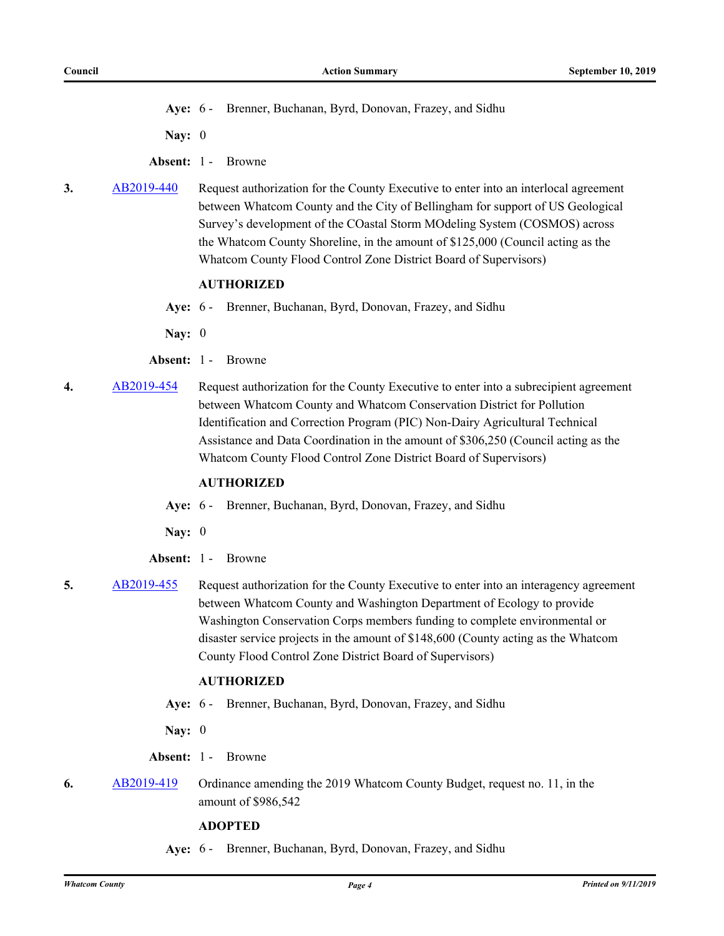**Aye:** 6 - Brenner, Buchanan, Byrd, Donovan, Frazey, and Sidhu

**Nay:** 0

- **Absent:** 1 Browne
- **3.** [AB2019-440](http://whatcom.legistar.com/gateway.aspx?m=l&id=/matter.aspx?key=2497) Request authorization for the County Executive to enter into an interlocal agreement between Whatcom County and the City of Bellingham for support of US Geological Survey's development of the COastal Storm MOdeling System (COSMOS) across the Whatcom County Shoreline, in the amount of \$125,000 (Council acting as the Whatcom County Flood Control Zone District Board of Supervisors)

#### **AUTHORIZED**

- **Aye:** 6 Brenner, Buchanan, Byrd, Donovan, Frazey, and Sidhu
- **Nay:** 0
- **Absent:** 1 Browne
- **4.** [AB2019-454](http://whatcom.legistar.com/gateway.aspx?m=l&id=/matter.aspx?key=2511) Request authorization for the County Executive to enter into a subrecipient agreement between Whatcom County and Whatcom Conservation District for Pollution Identification and Correction Program (PIC) Non-Dairy Agricultural Technical Assistance and Data Coordination in the amount of \$306,250 (Council acting as the Whatcom County Flood Control Zone District Board of Supervisors)

# **AUTHORIZED**

- **Aye:** 6 Brenner, Buchanan, Byrd, Donovan, Frazey, and Sidhu
- **Nay:** 0
- **Absent:** 1 Browne
- **5.** [AB2019-455](http://whatcom.legistar.com/gateway.aspx?m=l&id=/matter.aspx?key=2512) Request authorization for the County Executive to enter into an interagency agreement between Whatcom County and Washington Department of Ecology to provide Washington Conservation Corps members funding to complete environmental or disaster service projects in the amount of \$148,600 (County acting as the Whatcom County Flood Control Zone District Board of Supervisors)

#### **AUTHORIZED**

**Aye:** 6 - Brenner, Buchanan, Byrd, Donovan, Frazey, and Sidhu

**Nay:** 0

- **Absent:** 1 Browne
- **6.** [AB2019-419](http://whatcom.legistar.com/gateway.aspx?m=l&id=/matter.aspx?key=2470) Ordinance amending the 2019 Whatcom County Budget, request no. 11, in the amount of \$986,542

#### **ADOPTED**

**Aye:** 6 - Brenner, Buchanan, Byrd, Donovan, Frazey, and Sidhu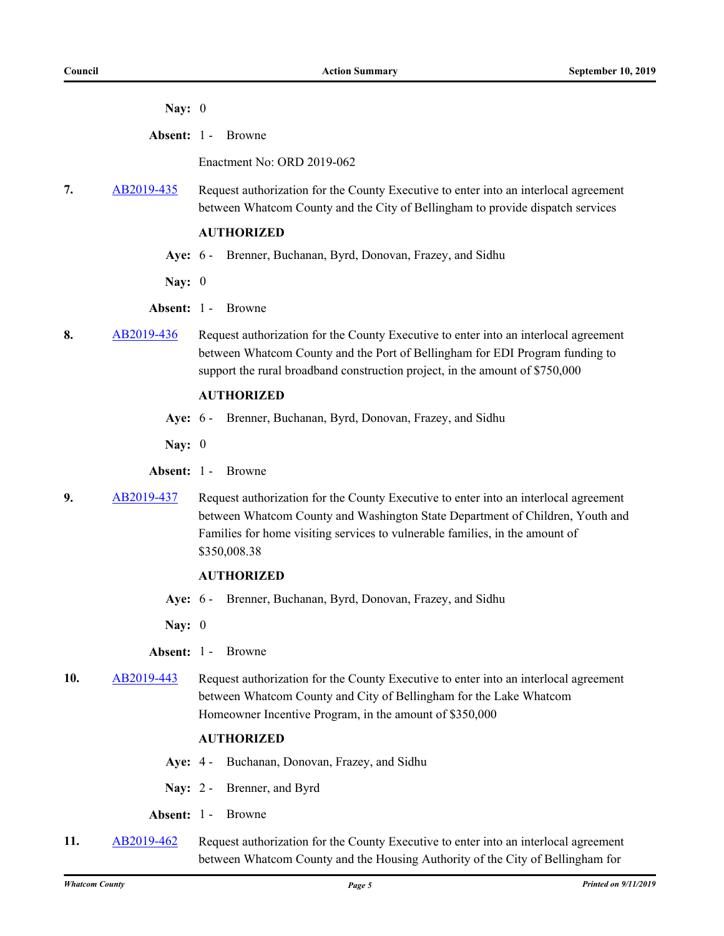**Nay:** 0

**Absent:** 1 - Browne

Enactment No: ORD 2019-062

**7.** [AB2019-435](http://whatcom.legistar.com/gateway.aspx?m=l&id=/matter.aspx?key=2488) Request authorization for the County Executive to enter into an interlocal agreement between Whatcom County and the City of Bellingham to provide dispatch services

#### **AUTHORIZED**

**Aye:** 6 - Brenner, Buchanan, Byrd, Donovan, Frazey, and Sidhu

**Nay:** 0

- **Absent:** 1 Browne
- 8. [AB2019-436](http://whatcom.legistar.com/gateway.aspx?m=l&id=/matter.aspx?key=2489) Request authorization for the County Executive to enter into an interlocal agreement between Whatcom County and the Port of Bellingham for EDI Program funding to support the rural broadband construction project, in the amount of \$750,000

#### **AUTHORIZED**

- **Aye:** 6 Brenner, Buchanan, Byrd, Donovan, Frazey, and Sidhu
- **Nay:** 0
- **Absent:** 1 Browne
- **9.** [AB2019-437](http://whatcom.legistar.com/gateway.aspx?m=l&id=/matter.aspx?key=2490) Request authorization for the County Executive to enter into an interlocal agreement between Whatcom County and Washington State Department of Children, Youth and Families for home visiting services to vulnerable families, in the amount of \$350,008.38

#### **AUTHORIZED**

**Aye:** 6 - Brenner, Buchanan, Byrd, Donovan, Frazey, and Sidhu

**Nay:** 0

- **Absent:** 1 Browne
- **10.** [AB2019-443](http://whatcom.legistar.com/gateway.aspx?m=l&id=/matter.aspx?key=2500) Request authorization for the County Executive to enter into an interlocal agreement between Whatcom County and City of Bellingham for the Lake Whatcom Homeowner Incentive Program, in the amount of \$350,000

#### **AUTHORIZED**

- **Aye:** 4 Buchanan, Donovan, Frazey, and Sidhu
- **Nay:** 2 Brenner, and Byrd
- **Absent:** 1 Browne
- **11.** [AB2019-462](http://whatcom.legistar.com/gateway.aspx?m=l&id=/matter.aspx?key=2519) Request authorization for the County Executive to enter into an interlocal agreement between Whatcom County and the Housing Authority of the City of Bellingham for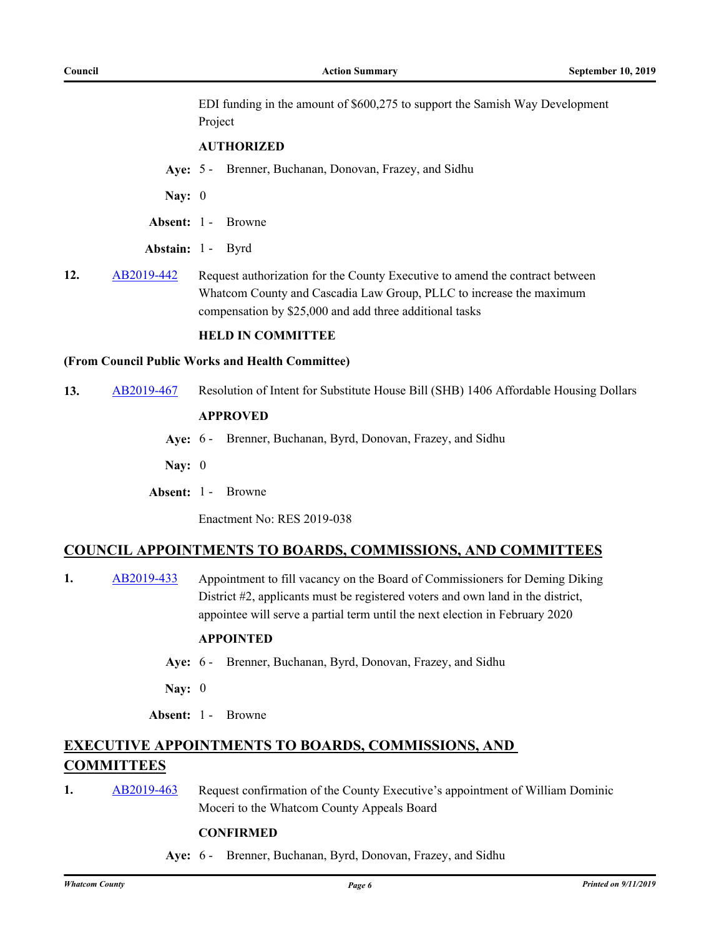EDI funding in the amount of \$600,275 to support the Samish Way Development Project

#### **AUTHORIZED**

**Aye:** 5 - Brenner, Buchanan, Donovan, Frazey, and Sidhu

**Nay:** 0

- **Absent:** 1 Browne
- **Abstain:** 1 Byrd
- 12. [AB2019-442](http://whatcom.legistar.com/gateway.aspx?m=l&id=/matter.aspx?key=2499) Request authorization for the County Executive to amend the contract between Whatcom County and Cascadia Law Group, PLLC to increase the maximum compensation by \$25,000 and add three additional tasks

#### **HELD IN COMMITTEE**

#### **(From Council Public Works and Health Committee)**

**13.** [AB2019-467](http://whatcom.legistar.com/gateway.aspx?m=l&id=/matter.aspx?key=2524) Resolution of Intent for Substitute House Bill (SHB) 1406 Affordable Housing Dollars

# **APPROVED**

**Aye:** 6 - Brenner, Buchanan, Byrd, Donovan, Frazey, and Sidhu

**Nay:** 0

**Absent:** 1 - Browne

Enactment No: RES 2019-038

#### **COUNCIL APPOINTMENTS TO BOARDS, COMMISSIONS, AND COMMITTEES**

**1.** [AB2019-433](http://whatcom.legistar.com/gateway.aspx?m=l&id=/matter.aspx?key=2484) Appointment to fill vacancy on the Board of Commissioners for Deming Diking District #2, applicants must be registered voters and own land in the district, appointee will serve a partial term until the next election in February 2020

#### **APPOINTED**

- **Aye:** 6 Brenner, Buchanan, Byrd, Donovan, Frazey, and Sidhu
- **Nay:** 0
- **Absent:** 1 Browne

# **EXECUTIVE APPOINTMENTS TO BOARDS, COMMISSIONS, AND COMMITTEES**

**1.** [AB2019-463](http://whatcom.legistar.com/gateway.aspx?m=l&id=/matter.aspx?key=2520) Request confirmation of the County Executive's appointment of William Dominic Moceri to the Whatcom County Appeals Board

#### **CONFIRMED**

**Aye:** 6 - Brenner, Buchanan, Byrd, Donovan, Frazey, and Sidhu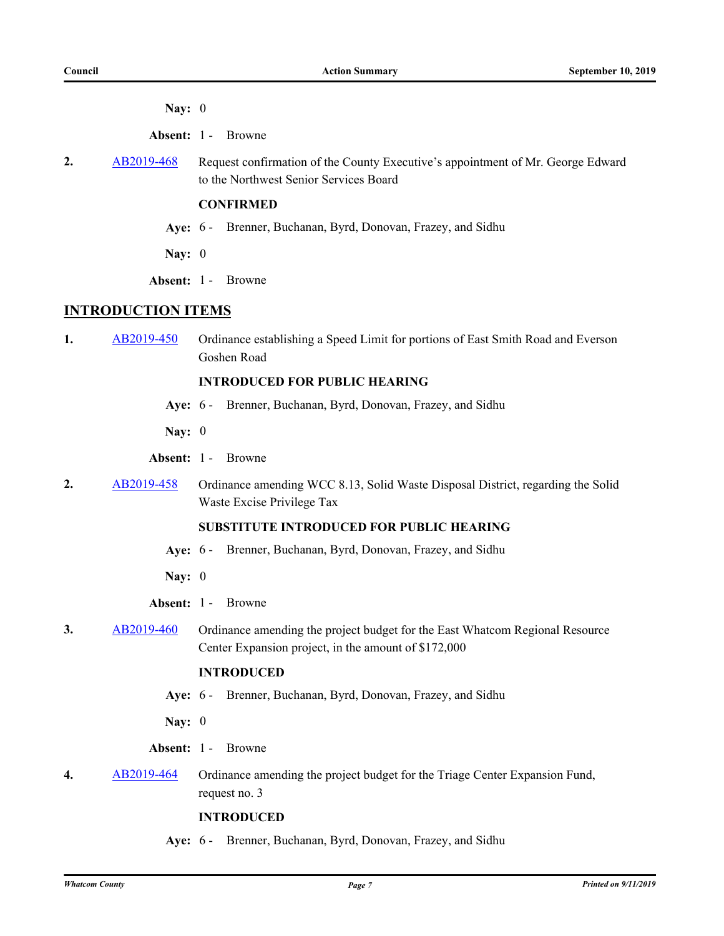**Nay:** 0

**Absent:** 1 - Browne

2. [AB2019-468](http://whatcom.legistar.com/gateway.aspx?m=l&id=/matter.aspx?key=2525) Request confirmation of the County Executive's appointment of Mr. George Edward to the Northwest Senior Services Board

# **CONFIRMED**

- **Aye:** 6 Brenner, Buchanan, Byrd, Donovan, Frazey, and Sidhu
- **Nay:** 0
- **Absent:** 1 Browne

# **INTRODUCTION ITEMS**

**1.** [AB2019-450](http://whatcom.legistar.com/gateway.aspx?m=l&id=/matter.aspx?key=2507) Ordinance establishing a Speed Limit for portions of East Smith Road and Everson Goshen Road

### **INTRODUCED FOR PUBLIC HEARING**

- **Aye:** 6 Brenner, Buchanan, Byrd, Donovan, Frazey, and Sidhu
- **Nay:** 0
- **Absent:** 1 Browne
- 2. [AB2019-458](http://whatcom.legistar.com/gateway.aspx?m=l&id=/matter.aspx?key=2515) Ordinance amending WCC 8.13, Solid Waste Disposal District, regarding the Solid Waste Excise Privilege Tax

# **SUBSTITUTE INTRODUCED FOR PUBLIC HEARING**

- **Aye:** 6 Brenner, Buchanan, Byrd, Donovan, Frazey, and Sidhu
- **Nay:** 0
- **Absent:** 1 Browne
- **3.** [AB2019-460](http://whatcom.legistar.com/gateway.aspx?m=l&id=/matter.aspx?key=2517) Ordinance amending the project budget for the East Whatcom Regional Resource Center Expansion project, in the amount of \$172,000

# **INTRODUCED**

- **Aye:** 6 Brenner, Buchanan, Byrd, Donovan, Frazey, and Sidhu
- **Nay:** 0
- **Absent:** 1 Browne
- **4.** [AB2019-464](http://whatcom.legistar.com/gateway.aspx?m=l&id=/matter.aspx?key=2521) Ordinance amending the project budget for the Triage Center Expansion Fund, request no. 3

#### **INTRODUCED**

**Aye:** 6 - Brenner, Buchanan, Byrd, Donovan, Frazey, and Sidhu